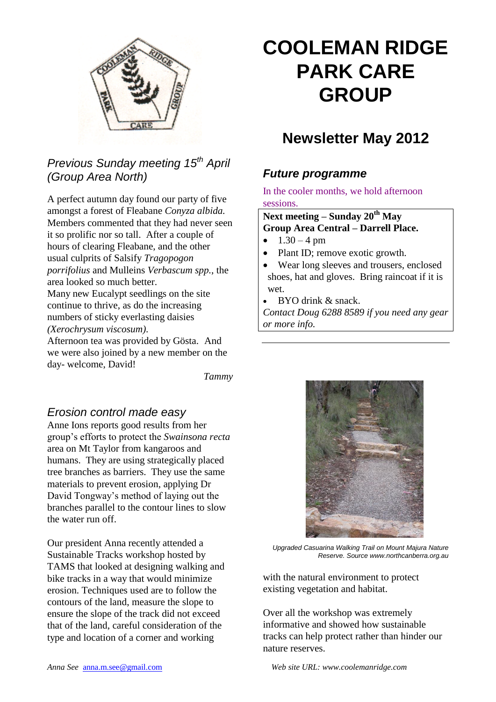

# *Previous Sunday meeting 15th April (Group Area North)*

A perfect autumn day found our party of five amongst a forest of Fleabane *Conyza albida.* Members commented that they had never seen it so prolific nor so tall. After a couple of hours of clearing Fleabane, and the other usual culprits of Salsify *Tragopogon porrifolius* and Mulleins *Verbascum spp.*, the area looked so much better. Many new Eucalypt seedlings on the site continue to thrive, as do the increasing numbers of sticky everlasting daisies *(Xerochrysum viscosum)*.

Afternoon tea was provided by Gösta. And we were also joined by a new member on the day- welcome, David!

*Tammy*

#### *Erosion control made easy*

Anne Ions reports good results from her group's efforts to protect the *Swainsona recta* area on Mt Taylor from kangaroos and humans. They are using strategically placed tree branches as barriers. They use the same materials to prevent erosion, applying Dr David Tongway's method of laying out the branches parallel to the contour lines to slow the water run off.

Our president Anna recently attended a Sustainable Tracks workshop hosted by TAMS that looked at designing walking and bike tracks in a way that would minimize erosion. Techniques used are to follow the contours of the land, measure the slope to ensure the slope of the track did not exceed that of the land, careful consideration of the type and location of a corner and working

# **COOLEMAN RIDGE PARK CARE GROUP**

# **Newsletter May 2012**

### *Future programme*

In the cooler months, we hold afternoon sessions.

#### **Next meeting – Sunday 20th May Group Area Central – Darrell Place.**

- $1.30 4 \text{ pm}$
- Plant ID; remove exotic growth.
- Wear long sleeves and trousers, enclosed shoes, hat and gloves. Bring raincoat if it is wet.
- BYO drink & snack.

*Contact Doug 6288 8589 if you need any gear or more info.*



*Upgraded Casuarina Walking Trail on Mount Majura Nature Reserve. Source www.northcanberra.org.au*

with the natural environment to protect existing vegetation and habitat.

Over all the workshop was extremely informative and showed how sustainable tracks can help protect rather than hinder our nature reserves.